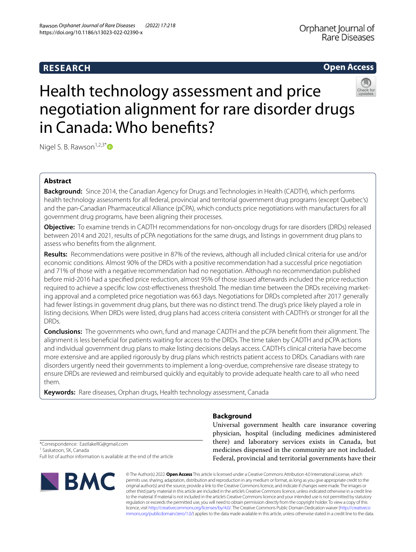## **RESEARCH**

**Open Access**

# Health technology assessment and price negotiation alignment for rare disorder drugs in Canada: Who benefts?

Nigel S. B. Rawson<sup>1,2,3\*</sup> $\bullet$ 

## **Abstract**

**Background:** Since 2014, the Canadian Agency for Drugs and Technologies in Health (CADTH), which performs health technology assessments for all federal, provincial and territorial government drug programs (except Quebec's) and the pan-Canadian Pharmaceutical Alliance (pCPA), which conducts price negotiations with manufacturers for all government drug programs, have been aligning their processes.

**Objective:** To examine trends in CADTH recommendations for non-oncology drugs for rare disorders (DRDs) released between 2014 and 2021, results of pCPA negotiations for the same drugs, and listings in government drug plans to assess who benefts from the alignment.

**Results:** Recommendations were positive in 87% of the reviews, although all included clinical criteria for use and/or economic conditions. Almost 90% of the DRDs with a positive recommendation had a successful price negotiation and 71% of those with a negative recommendation had no negotiation. Although no recommendation published before mid-2016 had a specifed price reduction, almost 95% of those issued afterwards included the price reduction required to achieve a specifc low cost-efectiveness threshold. The median time between the DRDs receiving marketing approval and a completed price negotiation was 663 days. Negotiations for DRDs completed after 2017 generally had fewer listings in government drug plans, but there was no distinct trend. The drug's price likely played a role in listing decisions. When DRDs were listed, drug plans had access criteria consistent with CADTH's or stronger for all the DRDs.

**Conclusions:** The governments who own, fund and manage CADTH and the pCPA beneft from their alignment. The alignment is less benefcial for patients waiting for access to the DRDs. The time taken by CADTH and pCPA actions and individual government drug plans to make listing decisions delays access. CADTH's clinical criteria have become more extensive and are applied rigorously by drug plans which restricts patient access to DRDs. Canadians with rare disorders urgently need their governments to implement a long-overdue, comprehensive rare disease strategy to ensure DRDs are reviewed and reimbursed quickly and equitably to provide adequate health care to all who need them.

**Keywords:** Rare diseases, Orphan drugs, Health technology assessment, Canada

**Background**

Universal government health care insurance covering physician, hospital (including medicines administered there) and laboratory services exists in Canada, but medicines dispensed in the community are not included. Federal, provincial and territorial governments have their

\*Correspondence: EastlakeRG@gmail.com

<sup>1</sup> Saskatoon, SK, Canada Full list of author information is available at the end of the article



© The Author(s) 2022. **Open Access** This article is licensed under a Creative Commons Attribution 4.0 International License, which permits use, sharing, adaptation, distribution and reproduction in any medium or format, as long as you give appropriate credit to the original author(s) and the source, provide a link to the Creative Commons licence, and indicate if changes were made. The images or other third party material in this article are included in the article's Creative Commons licence, unless indicated otherwise in a credit line to the material. If material is not included in the article's Creative Commons licence and your intended use is not permitted by statutory regulation or exceeds the permitted use, you will need to obtain permission directly from the copyright holder. To view a copy of this licence, visit [http://creativecommons.org/licenses/by/4.0/.](http://creativecommons.org/licenses/by/4.0/) The Creative Commons Public Domain Dedication waiver ([http://creativeco](http://creativecommons.org/publicdomain/zero/1.0/) [mmons.org/publicdomain/zero/1.0/](http://creativecommons.org/publicdomain/zero/1.0/)) applies to the data made available in this article, unless otherwise stated in a credit line to the data.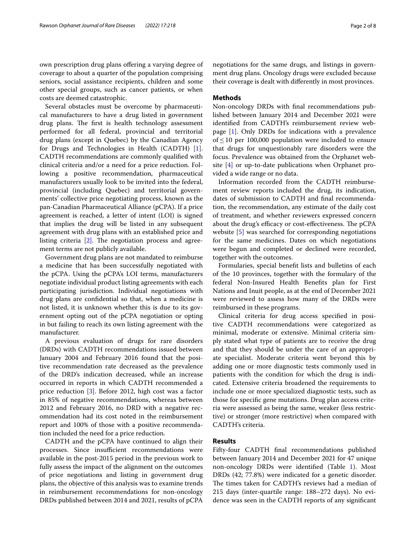own prescription drug plans ofering a varying degree of coverage to about a quarter of the population comprising seniors, social assistance recipients, children and some other special groups, such as cancer patients, or when costs are deemed catastrophic.

Several obstacles must be overcome by pharmaceutical manufacturers to have a drug listed in government drug plans. The first is health technology assessment performed for all federal, provincial and territorial drug plans (except in Quebec) by the Canadian Agency for Drugs and Technologies in Health (CADTH) [\[1](#page-7-0)]. CADTH recommendations are commonly qualifed with clinical criteria and/or a need for a price reduction. Following a positive recommendation, pharmaceutical manufacturers usually look to be invited into the federal, provincial (including Quebec) and territorial governments' collective price negotiating process, known as the pan-Canadian Pharmaceutical Alliance (pCPA). If a price agreement is reached, a letter of intent (LOI) is signed that implies the drug will be listed in any subsequent agreement with drug plans with an established price and listing criteria  $[2]$  $[2]$ . The negotiation process and agreement terms are not publicly available.

Government drug plans are not mandated to reimburse a medicine that has been successfully negotiated with the pCPA. Using the pCPA's LOI terms, manufacturers negotiate individual product listing agreements with each participating jurisdiction. Individual negotiations with drug plans are confdential so that, when a medicine is not listed, it is unknown whether this is due to its government opting out of the pCPA negotiation or opting in but failing to reach its own listing agreement with the manufacturer.

A previous evaluation of drugs for rare disorders (DRDs) with CADTH recommendations issued between January 2004 and February 2016 found that the positive recommendation rate decreased as the prevalence of the DRD's indication decreased, while an increase occurred in reports in which CADTH recommended a price reduction [[3](#page-7-2)]. Before 2012, high cost was a factor in 85% of negative recommendations, whereas between 2012 and February 2016, no DRD with a negative recommendation had its cost noted in the reimbursement report and 100% of those with a positive recommendation included the need for a price reduction.

CADTH and the pCPA have continued to align their processes. Since insufficient recommendations were available in the post-2015 period in the previous work to fully assess the impact of the alignment on the outcomes of price negotiations and listing in government drug plans, the objective of this analysis was to examine trends in reimbursement recommendations for non-oncology DRDs published between 2014 and 2021, results of pCPA negotiations for the same drugs, and listings in government drug plans. Oncology drugs were excluded because

#### **Methods**

Non-oncology DRDs with fnal recommendations published between January 2014 and December 2021 were identifed from CADTH's reimbursement review webpage [\[1\]](#page-7-0). Only DRDs for indications with a prevalence of≤10 per 100,000 population were included to ensure that drugs for unquestionably rare disorders were the focus. Prevalence was obtained from the Orphanet website [[4\]](#page-7-3) or up-to-date publications when Orphanet provided a wide range or no data.

their coverage is dealt with diferently in most provinces.

Information recorded from the CADTH reimbursement review reports included the drug, its indication, dates of submission to CADTH and fnal recommendation, the recommendation, any estimate of the daily cost of treatment, and whether reviewers expressed concern about the drug's efficacy or cost-effectiveness. The pCPA website [[5\]](#page-7-4) was searched for corresponding negotiations for the same medicines. Dates on which negotiations were begun and completed or declined were recorded, together with the outcomes.

Formularies, special beneft lists and bulletins of each of the 10 provinces, together with the formulary of the federal Non-Insured Health Benefts plan for First Nations and Inuit people, as at the end of December 2021 were reviewed to assess how many of the DRDs were reimbursed in these programs.

Clinical criteria for drug access specifed in positive CADTH recommendations were categorized as minimal, moderate or extensive. Minimal criteria simply stated what type of patients are to receive the drug and that they should be under the care of an appropriate specialist. Moderate criteria went beyond this by adding one or more diagnostic tests commonly used in patients with the condition for which the drug is indicated. Extensive criteria broadened the requirements to include one or more specialized diagnostic tests, such as those for specifc gene mutations. Drug plan access criteria were assessed as being the same, weaker (less restrictive) or stronger (more restrictive) when compared with CADTH's criteria.

#### **Results**

Fifty-four CADTH fnal recommendations published between January 2014 and December 2021 for 47 unique non-oncology DRDs were identifed (Table [1\)](#page-2-0). Most DRDs (42; 77.8%) were indicated for a genetic disorder. The times taken for CADTH's reviews had a median of 215 days (inter-quartile range: 188–272 days). No evidence was seen in the CADTH reports of any signifcant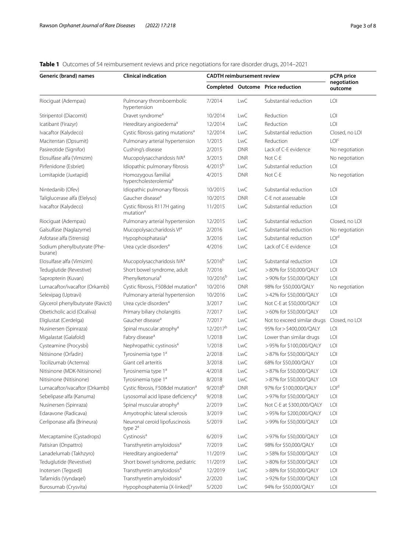## <span id="page-2-0"></span>**Table 1** Outcomes of 54 reimbursement reviews and price negotiations for rare disorder drugs, 2014–2021

| Generic (brand) names                  | <b>Clinical indication</b>                               | <b>CADTH</b> reimbursement review |            |                                   | pCPA price             |
|----------------------------------------|----------------------------------------------------------|-----------------------------------|------------|-----------------------------------|------------------------|
|                                        |                                                          |                                   |            | Completed Outcome Price reduction | negotiation<br>outcome |
| Riociguat (Adempas)                    | Pulmonary thromboembolic<br>hypertension                 | 7/2014                            | <b>LwC</b> | Substantial reduction             | LOI                    |
| Stiripentol (Diacomit)                 | Dravet syndrome <sup>a</sup>                             | 10/2014                           | LwC        | Reduction                         | LOI                    |
| Icatibant (Firazyr)                    | Hereditary angioedema <sup>a</sup>                       | 12/2014                           | <b>LwC</b> | Reduction                         | LOI                    |
| Ivacaftor (Kalydeco)                   | Cystic fibrosis gating mutations <sup>a</sup>            | 12/2014                           | <b>LwC</b> | Substantial reduction             | Closed, no LOI         |
| Macitentan (Opsumit)                   | Pulmonary arterial hypertension                          | 1/2015                            | <b>LwC</b> | Reduction                         | LOI <sup>c</sup>       |
| Pasireotide (Signifor)                 | Cushing's disease                                        | 2/2015                            | <b>DNR</b> | Lack of C-E evidence              | No negotiation         |
| Elosulfase alfa (Vimizim)              | Mucopolysaccharidosis IVA <sup>a</sup>                   | 3/2015                            | <b>DNR</b> | Not C-E                           | No negotiation         |
| Pirfenidone (Esbriet)                  | Idiopathic pulmonary fibrosis                            | $4/2015^{b}$                      | <b>LwC</b> | Substantial reduction             | LOI                    |
| Lomitapide (Juxtapid)                  | Homozygous familial<br>hypercholesterolemia <sup>a</sup> | 4/2015                            | <b>DNR</b> | Not C-E                           | No negotiation         |
| Nintedanib (Ofev)                      | Idiopathic pulmonary fibrosis                            | 10/2015                           | LwC        | Substantial reduction             | LOI                    |
| Taliglucerase alfa (Elelyso)           | Gaucher disease <sup>a</sup>                             | 10/2015                           | <b>DNR</b> | C-E not assessable                | LOI                    |
| Ivacaftor (Kalydeco)                   | Cystic fibrosis R117H gating<br>mutation <sup>a</sup>    | 11/2015                           | <b>LwC</b> | Substantial reduction             | LOI                    |
| Riociguat (Adempas)                    | Pulmonary arterial hypertension                          | 12/2015                           | LwC        | Substantial reduction             | Closed, no LOI         |
| Galsulfase (Naglazyme)                 | Mucopolysaccharidosis VI <sup>a</sup>                    | 2/2016                            | <b>LwC</b> | Substantial reduction             | No negotiation         |
| Asfotase alfa (Strensig)               | Hypophosphatasia <sup>a</sup>                            | 3/2016                            | <b>LwC</b> | Substantial reduction             | LOI <sup>d</sup>       |
| Sodium phenylbutyrate (Phe-<br>burane) | Urea cycle disorders <sup>a</sup>                        | 4/2016                            | <b>LwC</b> | Lack of C-E evidence              | LOI                    |
| Elosulfase alfa (Vimizim)              | Mucopolysaccharidosis IVA <sup>a</sup>                   | $5/2016^{b}$                      | <b>LwC</b> | Substantial reduction             | LOI                    |
| Teduglutide (Revestive)                | Short bowel syndrome, adult                              | 7/2016                            | <b>LwC</b> | >80% for \$50,000/QALY            | LOI                    |
| Sapropterin (Kuvan)                    | Phenylketonuria <sup>a</sup>                             | 10/2016 <sup>b</sup>              | <b>LwC</b> | > 90% for \$50,000/QALY           | LOI                    |
| Lumacaftor/ivacaftor (Orkambi)         | Cystic fibrosis, F508del mutation <sup>a</sup>           | 10/2016                           | <b>DNR</b> | 98% for \$50,000/QALY             | No negotiation         |
| Selexipag (Uptravi)                    | Pulmonary arterial hypertension                          | 10/2016                           | <b>LwC</b> | >42% for \$50,000/QALY            | LOI                    |
| Glycerol phenylbutyrate (Ravicti)      | Urea cycle disorders <sup>a</sup>                        | 3/2017                            | <b>LwC</b> | Not C-E at \$50,000/QALY          | LOI                    |
| Obeticholic acid (Ocaliva)             | Primary biliary cholangitis                              | 7/2017                            | <b>LwC</b> | >60% for \$50,000/QALY            | LOI                    |
| Eliglustat (Cerdelga)                  | Gaucher disease <sup>a</sup>                             | 7/2017                            | <b>LwC</b> | Not to exceed similar drugs       | Closed, no LOI         |
| Nusinersen (Spinraza)                  | Spinal muscular atrophy <sup>a</sup>                     | 12/2017 <sup>b</sup>              | <b>LwC</b> | 95% for > \$400,000/QALY          | LOI                    |
| Migalastat (Galafold)                  | Fabry disease <sup>a</sup>                               | 1/2018                            | <b>LwC</b> | Lower than similar drugs          | LOI                    |
| Cysteamine (Procysbi)                  | Nephropathic cystinosis <sup>a</sup>                     | 1/2018                            | <b>LwC</b> | > 95% for \$100,000/QALY          | LOI                    |
| Nitisinone (Orfadin)                   | Tyrosinemia type 1ª                                      | 2/2018                            | <b>LwC</b> | >87% for \$50,000/QALY            | LOI                    |
| Tocilizumab (Actemra)                  | Giant cell arteritis                                     | 3/2018                            | <b>LwC</b> | 68% for \$50,000/QALY             | LOI                    |
| Nitisinone (MDK-Nitisinone)            | Tyrosinemia type 1 <sup>ª</sup>                          | 4/2018                            | <b>LwC</b> | >87% for \$50,000/QALY            | LOI                    |
| Nitisinone (Nitisinone)                | Tyrosinemia type 1ª                                      | 8/2018                            | <b>LwC</b> | >87% for \$50,000/QALY            | LOI                    |
| Lumacaftor/ivacaftor (Orkambi)         | Cystic fibrosis, F508del mutation <sup>a</sup>           | $9/2018^{b}$                      | <b>DNR</b> | 97% for \$100,000/QALY            | LOI <sup>d</sup>       |
| Sebelipase alfa (Kanuma)               | Lysosomal acid lipase deficiency <sup>a</sup>            | 9/2018                            | <b>LwC</b> | > 97% for \$50,000/QALY           | LOI                    |
| Nusinersen (Spinraza)                  | Spinal muscular atrophy <sup>a</sup>                     | 2/2019                            | <b>LwC</b> | Not C-E at \$300,000/QALY         | LOI                    |
| Edaravone (Radicava)                   | Amyotrophic lateral sclerosis                            | 3/2019                            | <b>LwC</b> | >95% for \$200,000/QALY           | LOI                    |
| Cerliponase alfa (Brineura)            | Neuronal ceroid lipofuscinosis<br>type $2^a$             | 5/2019                            | <b>LwC</b> | >99% for \$50,000/QALY            | LOI                    |
| Mercaptamine (Cystadrops)              | Cystinosis <sup>a</sup>                                  | 6/2019                            | <b>LwC</b> | > 97% for \$50,000/QALY           | LOI                    |
| Patisiran (Onpattro)                   | Transthyretin amyloidosis <sup>a</sup>                   | 7/2019                            | LwC        | 98% for \$50,000/QALY             | LOI                    |
| Lanadelumab (Takhzyro)                 | Hereditary angioedema <sup>a</sup>                       | 11/2019                           | <b>LwC</b> | >58% for \$50,000/QALY            | LOI                    |
| Teduglutide (Revestive)                | Short bowel syndrome, pediatric                          | 11/2019                           | LwC        | >80% for \$50,000/QALY            | LOI                    |
| Inotersen (Tegsedi)                    | Transthyretin amyloidosis <sup>a</sup>                   | 12/2019                           | LwC        | >88% for \$50,000/QALY            | LOI                    |
| Tafamidis (Vyndaqel)                   | Transthyretin amyloidosis <sup>a</sup>                   | 2/2020                            | <b>LwC</b> | >92% for \$50,000/QALY            | LOI                    |
| Burosumab (Crysvita)                   | Hypophosphatemia (X-linked) <sup>a</sup>                 | 5/2020                            | <b>LwC</b> | 94% for \$50,000/QALY             | LOI                    |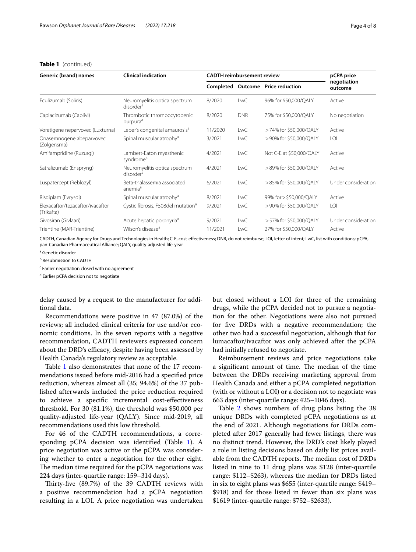#### **Table 1** (continued)

| Generic (brand) names                          | <b>Clinical indication</b>                             | <b>CADTH</b> reimbursement review |            |                                   | pCPA price             |  |
|------------------------------------------------|--------------------------------------------------------|-----------------------------------|------------|-----------------------------------|------------------------|--|
|                                                |                                                        |                                   |            | Completed Outcome Price reduction | negotiation<br>outcome |  |
| Eculizumab (Soliris)                           | Neuromyelitis optica spectrum<br>disorder <sup>a</sup> | 8/2020                            | LwC        | 96% for \$50,000/QALY             | Active                 |  |
| Caplacizumab (Cablivi)                         | Thrombotic thrombocytopenic<br>purpura <sup>a</sup>    | 8/2020                            | <b>DNR</b> | 75% for \$50,000/QALY             | No negotiation         |  |
| Voretigene neparvovec (Luxturna)               | Leber's congenital amaurosis <sup>a</sup>              | 11/2020                           | <b>LwC</b> | >74% for \$50,000/QALY            | Active                 |  |
| Onasemnogene abeparvovec<br>(Zolgensma)        | Spinal muscular atrophy <sup>a</sup>                   | 3/2021                            | <b>LwC</b> | > 90% for \$50,000/QALY           | LOI                    |  |
| Amifampridine (Ruzurgi)                        | Lambert-Eaton myasthenic<br>syndrome <sup>a</sup>      | 4/2021                            | LwC        | Not C-E at \$50,000/QALY          | Active                 |  |
| Satralizumab (Enspryng)                        | Neuromyelitis optica spectrum<br>disorder <sup>a</sup> | 4/2021                            | <b>LwC</b> | >89% for \$50,000/QALY            | Active                 |  |
| Luspatercept (Reblozyl)                        | Beta-thalassemia associated<br>anemia <sup>a</sup>     | 6/2021                            | LwC        | >85% for \$50,000/QALY            | Under consideration    |  |
| Risdiplam (Evrysdi)                            | Spinal muscular atrophy <sup>a</sup>                   | 8/2021                            | LwC        | 99% for > \$50,000/QALY           | Active                 |  |
| Elexacaftor/tezacaftor/ivacaftor<br>(Trikafta) | Cystic fibrosis, F508del mutation <sup>a</sup>         | 9/2021                            | LwC        | >90% for \$50,000/QALY            | LOI                    |  |
| Givosiran (Givlaari)                           | Acute hepatic porphyria <sup>a</sup>                   | 9/2021                            | LwC        | >57% for \$50,000/QALY            | Under consideration    |  |
| Trientine (MAR-Trientine)                      | Wilson's disease <sup>a</sup>                          | 11/2021                           | LwC        | 27% for \$50,000/QALY             | Active                 |  |

CADTH, Canadian Agency for Drugs and Technologies in Health; C-E, cost-efectiveness; DNR, do not reimburse; LOI, letter of intent; LwC, list with conditions; pCPA, pan-Canadian Pharmaceutical Alliance; QALY, quality-adjusted life-year

<sup>a</sup> Genetic disorder

<sup>b</sup> Resubmission to CADTH

<sup>c</sup> Earlier negotiation closed with no agreement

<sup>d</sup> Earlier pCPA decision not to negotiate

delay caused by a request to the manufacturer for additional data.

Recommendations were positive in 47 (87.0%) of the reviews; all included clinical criteria for use and/or economic conditions. In the seven reports with a negative recommendation, CADTH reviewers expressed concern about the DRD's efficacy, despite having been assessed by Health Canada's regulatory review as acceptable.

Table [1](#page-2-0) also demonstrates that none of the 17 recommendations issued before mid-2016 had a specifed price reduction, whereas almost all (35; 94.6%) of the 37 published afterwards included the price reduction required to achieve a specifc incremental cost-efectiveness threshold. For 30 (81.1%), the threshold was \$50,000 per quality-adjusted life-year (QALY). Since mid-2019, all recommendations used this low threshold.

For 46 of the CADTH recommendations, a corre-sponding pCPA decision was identified (Table [1](#page-2-0)). A price negotiation was active or the pCPA was considering whether to enter a negotiation for the other eight. The median time required for the pCPA negotiations was 224 days (inter-quartile range: 159–314 days).

Thirty-five (89.7%) of the 39 CADTH reviews with a positive recommendation had a pCPA negotiation resulting in a LOI. A price negotiation was undertaken but closed without a LOI for three of the remaining drugs, while the pCPA decided not to pursue a negotiation for the other. Negotiations were also not pursued for fve DRDs with a negative recommendation; the other two had a successful negotiation, although that for lumacaftor/ivacaftor was only achieved after the pCPA had initially refused to negotiate.

Reimbursement reviews and price negotiations take a significant amount of time. The median of the time between the DRDs receiving marketing approval from Health Canada and either a pCPA completed negotiation (with or without a LOI) or a decision not to negotiate was 663 days (inter-quartile range: 425–1046 days).

Table [2](#page-4-0) shows numbers of drug plans listing the 38 unique DRDs with completed pCPA negotiations as at the end of 2021. Although negotiations for DRDs completed after 2017 generally had fewer listings, there was no distinct trend. However, the DRD's cost likely played a role in listing decisions based on daily list prices available from the CADTH reports. The median cost of DRDs listed in nine to 11 drug plans was \$128 (inter-quartile range: \$112–\$263), whereas the median for DRDs listed in six to eight plans was \$655 (inter-quartile range: \$419– \$918) and for those listed in fewer than six plans was \$1619 (inter-quartile range: \$752–\$2633).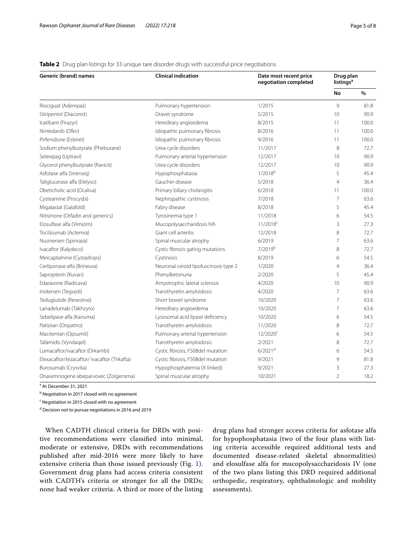### <span id="page-4-0"></span>**Table 2** Drug plan listings for 33 unique rare disorder drugs with successful price negotiations

| <b>Generic (brand) names</b>                | <b>Clinical indication</b>            | Date most recent price<br>negotiation completed | Drug plan<br>listings <sup>a</sup> |       |
|---------------------------------------------|---------------------------------------|-------------------------------------------------|------------------------------------|-------|
|                                             |                                       |                                                 | No                                 | $\%$  |
| Riociguat (Adempas)                         | Pulmonary hypertension                | 1/2015                                          | 9                                  | 81.8  |
| Stiripentol (Diacomit)                      | Dravet syndrome                       | 5/2015                                          | 10                                 | 90.9  |
| Icatibant (Firazyr)                         | Hereditary angioedema                 | 8/2015                                          | 11                                 | 100.0 |
| Nintedanib (Ofev)                           | Idiopathic pulmonary fibrosis         | 8/2016                                          | 11                                 | 100.0 |
| Pirfenidone (Esbriet)                       | Idiopathic pulmonary fibrosis         | 9/2016                                          | 11                                 | 100.0 |
| Sodium phenylbutyrate (Pheburane)           | Urea cycle disorders                  | 11/2017                                         | 8                                  | 72.7  |
| Selexipag (Uptravi)                         | Pulmonary arterial hypertension       | 12/2017                                         | 10                                 | 90.9  |
| Glycerol phenylbutyrate (Ravicti)           | Urea cycle disorders                  | 12/2017                                         | 10                                 | 90.9  |
| Asfotase alfa (Strensig)                    | Hypophosphatasia                      | $1/2018^{b}$                                    | 5                                  | 45.4  |
| Taliglucerase alfa (Elelyso)                | Gaucher disease                       | 5/2018                                          | $\overline{4}$                     | 36.4  |
| Obeticholic acid (Ocaliva)                  | Primary biliary cholangitis           | 6/2018                                          | 11                                 | 100.0 |
| Cysteamine (Procysbi)                       | Nephropathic cystinosis               | 7/2018                                          | $\overline{7}$                     | 63.6  |
| Migalastat (Galafold)                       | Fabry disease                         | 8/2018                                          | 5                                  | 45.4  |
| Nitisinone (Orfadin and generics)           | Tyrosinemia type 1                    | 11/2018                                         | 6                                  | 54.5  |
| Elosulfase alfa (Vimizim)                   | Mucopolysaccharidosis IVA             | $11/2018^c$                                     | 3                                  | 27.3  |
| Tocilizumab (Actemra)                       | Giant cell arteritis                  | 12/2018                                         | 8                                  | 72.7  |
| Nusinersen (Spinraza)                       | Spinal muscular atrophy               | 6/2019                                          | $\overline{7}$                     | 63.6  |
| Ivacaftor (Kalydeco)                        | Cystic fibrosis gating mutations      | 7/2019b                                         | 8                                  | 72.7  |
| Mercaptamine (Cystadrops)                   | Cystinosis                            | 8/2019                                          | 6                                  | 54.5  |
| Cerliponase alfa (Brineura)                 | Neuronal ceroid lipofuscinosis type 2 | 1/2020                                          | $\overline{4}$                     | 36.4  |
| Sapropterin (Kuvan)                         | Phenylketonuria                       | 2/2020                                          | 5                                  | 45.4  |
| Edaravone (Radicava)                        | Amyotrophic lateral sclerosis         | 4/2020                                          | 10                                 | 90.9  |
| Inotersen (Tegsedi)                         | Transthyretin amyloidosis             | 4/2020                                          | $\overline{7}$                     | 63.6  |
| Teduglutide (Revestive)                     | Short bowel syndrome                  | 10/2020                                         | 7                                  | 63.6  |
| Lanadelumab (Takhzyro)                      | Hereditary angioedema                 | 10/2020                                         | $\overline{7}$                     | 63.6  |
| Sebelipase alfa (Kanuma)                    | Lysosomal acid lipase deficiency      | 10/2020                                         | 6                                  | 54.5  |
| Patisiran (Onpattro)                        | Transthyretin amyloidosis             | 11/2020                                         | 8                                  | 72.7  |
| Macitentan (Opsumit)                        | Pulmonary arterial hypertension       | $12/2020^c$                                     | 6                                  | 54.5  |
| Tafamidis (Vyndaqel)                        | Transthyretin amyloidosis             | 2/2021                                          | 8                                  | 72.7  |
| Lumacaftor/ivacaftor (Orkambi)              | Cystic fibrosis, F508del mutation     | $6/2021$ <sup>d</sup>                           | 6                                  | 54.5  |
| Elexacaftor/tezacaftor/ivacaftor (Trikafta) | Cystic fibrosis, F508del mutation     | 9/2021                                          | 9                                  | 81.8  |
| Burosumab (Crysvita)                        | Hypophosphatemia (X-linked)           | 9/2021                                          | 3                                  | 27.3  |
| Onasemnogene abeparvovec (Zolgensma)        | Spinal muscular atrophy               | 10/2021                                         | $\overline{2}$                     | 18.2  |

<sup>a</sup> At December 31, 2021

<sup>b</sup> Negotiation in 2017 closed with no agreement

<sup>c</sup> Negotiation in 2015 closed with no agreement

<sup>d</sup> Decision not to pursue negotiations in 2016 and 2019

When CADTH clinical criteria for DRDs with positive recommendations were classifed into minimal, moderate or extensive, DRDs with recommendations published after mid-2016 were more likely to have extensive criteria than those issued previously (Fig. [1\)](#page-5-0). Government drug plans had access criteria consistent with CADTH's criteria or stronger for all the DRDs; none had weaker criteria. A third or more of the listing drug plans had stronger access criteria for asfotase alfa for hypophosphatasia (two of the four plans with listing criteria accessible required additional tests and documented disease-related skeletal abnormalities) and elosulfase alfa for mucopolysaccharidosis IV (one of the two plans listing this DRD required additional orthopedic, respiratory, ophthalmologic and mobility assessments).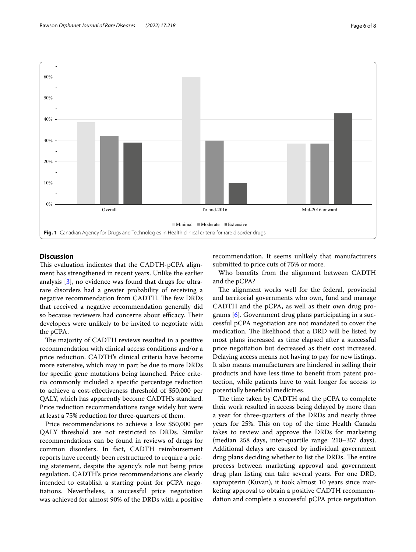

## <span id="page-5-0"></span>**Discussion**

This evaluation indicates that the CADTH-pCPA alignment has strengthened in recent years. Unlike the earlier analysis [[3\]](#page-7-2), no evidence was found that drugs for ultrarare disorders had a greater probability of receiving a negative recommendation from CADTH. The few DRDs that received a negative recommendation generally did so because reviewers had concerns about efficacy. Their developers were unlikely to be invited to negotiate with the pCPA.

The majority of CADTH reviews resulted in a positive recommendation with clinical access conditions and/or a price reduction. CADTH's clinical criteria have become more extensive, which may in part be due to more DRDs for specifc gene mutations being launched. Price criteria commonly included a specifc percentage reduction to achieve a cost-efectiveness threshold of \$50,000 per QALY, which has apparently become CADTH's standard. Price reduction recommendations range widely but were at least a 75% reduction for three-quarters of them.

Price recommendations to achieve a low \$50,000 per QALY threshold are not restricted to DRDs. Similar recommendations can be found in reviews of drugs for common disorders. In fact, CADTH reimbursement reports have recently been restructured to require a pricing statement, despite the agency's role not being price regulation. CADTH's price recommendations are clearly intended to establish a starting point for pCPA negotiations. Nevertheless, a successful price negotiation was achieved for almost 90% of the DRDs with a positive recommendation. It seems unlikely that manufacturers submitted to price cuts of 75% or more.

Who benefts from the alignment between CADTH and the pCPA?

The alignment works well for the federal, provincial and territorial governments who own, fund and manage CADTH and the pCPA, as well as their own drug programs [[6](#page-7-5)]. Government drug plans participating in a successful pCPA negotiation are not mandated to cover the medication. The likelihood that a DRD will be listed by most plans increased as time elapsed after a successful price negotiation but decreased as their cost increased. Delaying access means not having to pay for new listings. It also means manufacturers are hindered in selling their products and have less time to beneft from patent protection, while patients have to wait longer for access to potentially beneficial medicines.

The time taken by CADTH and the pCPA to complete their work resulted in access being delayed by more than a year for three-quarters of the DRDs and nearly three years for 25%. This on top of the time Health Canada takes to review and approve the DRDs for marketing (median 258 days, inter-quartile range: 210–357 days). Additional delays are caused by individual government drug plans deciding whether to list the DRDs. The entire process between marketing approval and government drug plan listing can take several years. For one DRD, sapropterin (Kuvan), it took almost 10 years since marketing approval to obtain a positive CADTH recommendation and complete a successful pCPA price negotiation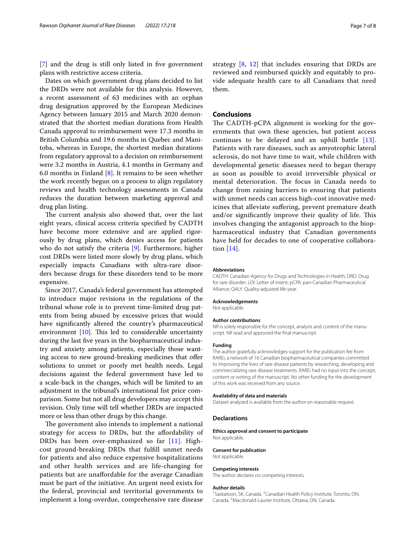[[7\]](#page-7-6) and the drug is still only listed in five government plans with restrictive access criteria.

Dates on which government drug plans decided to list the DRDs were not available for this analysis. However, a recent assessment of 63 medicines with an orphan drug designation approved by the European Medicines Agency between January 2015 and March 2020 demonstrated that the shortest median durations from Health Canada approval to reimbursement were 17.3 months in British Columbia and 19.6 months in Quebec and Manitoba, whereas in Europe, the shortest median durations from regulatory approval to a decision on reimbursement were 3.2 months in Austria, 4.1 months in Germany and 6.0 months in Finland  $[8]$  $[8]$ . It remains to be seen whether the work recently begun on a process to align regulatory reviews and health technology assessments in Canada reduces the duration between marketing approval and drug plan listing.

The current analysis also showed that, over the last eight years, clinical access criteria specifed by CADTH have become more extensive and are applied rigorously by drug plans, which denies access for patients who do not satisfy the criteria [[9\]](#page-7-8). Furthermore, higher cost DRDs were listed more slowly by drug plans, which especially impacts Canadians with ultra-rare disorders because drugs for these disorders tend to be more expensive.

Since 2017, Canada's federal government has attempted to introduce major revisions in the regulations of the tribunal whose role is to prevent time-limited drug patents from being abused by excessive prices that would have signifcantly altered the country's pharmaceutical environment  $[10]$  $[10]$ . This led to considerable uncertainty during the last fve years in the biopharmaceutical industry and anxiety among patients, especially those wanting access to new ground-breaking medicines that offer solutions to unmet or poorly met health needs. Legal decisions against the federal government have led to a scale-back in the changes, which will be limited to an adjustment in the tribunal's international list price comparison. Some but not all drug developers may accept this revision. Only time will tell whether DRDs are impacted more or less than other drugs by this change.

The government also intends to implement a national strategy for access to DRDs, but the affordability of DRDs has been over-emphasized so far [[11\]](#page-7-10). Highcost ground-breaking DRDs that fulfll unmet needs for patients and also reduce expensive hospitalizations and other health services and are life-changing for patients but are unafordable for the average Canadian must be part of the initiative. An urgent need exists for the federal, provincial and territorial governments to implement a long-overdue, comprehensive rare disease strategy [[8,](#page-7-7) [12](#page-7-11)] that includes ensuring that DRDs are reviewed and reimbursed quickly and equitably to provide adequate health care to all Canadians that need them.

### **Conclusions**

The CADTH-pCPA alignment is working for the governments that own these agencies, but patient access continues to be delayed and an uphill battle [[13](#page-7-12)]. Patients with rare diseases, such as amyotrophic lateral sclerosis, do not have time to wait, while children with developmental genetic diseases need to began therapy as soon as possible to avoid irreversible physical or mental deterioration. The focus in Canada needs to change from raising barriers to ensuring that patients with unmet needs can access high-cost innovative medicines that alleviate sufering, prevent premature death and/or significantly improve their quality of life. This involves changing the antagonist approach to the biopharmaceutical industry that Canadian governments have held for decades to one of cooperative collaboration [[14\]](#page-7-13).

#### **Abbreviations**

CADTH: Canadian Agency for Drugs and Technologies in Health; DRD: Drug for rare disorder; LOI: Letter of intent; pCPA: pan-Canadian Pharmaceutical Alliance; QALY: Quality-adjusted life-year.

#### **Acknowledgements**

Not applicable.

#### **Author contributions**

NR is solely responsible for the concept, analysis and content of the manuscript. NR read and approved the fnal manuscript.

#### **Funding**

The author gratefully acknowledges support for the publication fee from RAREi, a network of 16 Canadian biopharmaceutical companies committed to improving the lives of rare disease patients by researching, developing and commercializing rare disease treatments. RAREi had no input into the concept, content or writing of the manuscript. No other funding for the development of this work was received from any source.

#### **Availability of data and materials**

Dataset analyzed is available from the author on reasonable request.

#### **Declarations**

**Ethics approval and consent to participate** Not applicable.

**Consent for publication** Not applicable.

#### **Competing interests**

The author declares no competing interests.

#### **Author details**

<sup>1</sup> Saskatoon, SK, Canada. <sup>2</sup> Canadian Health Policy Institute, Toronto, ON, Canada. 3 Macdonald-Laurier Institute, Ottawa, ON, Canada.